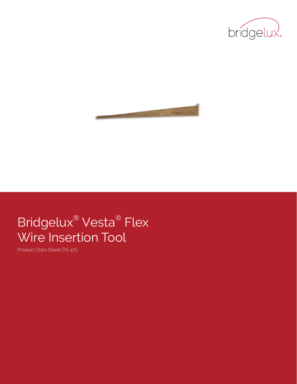



# Bridgelux® Vesta® Flex Wire Insertion Tool

Product Data Sheet DS 471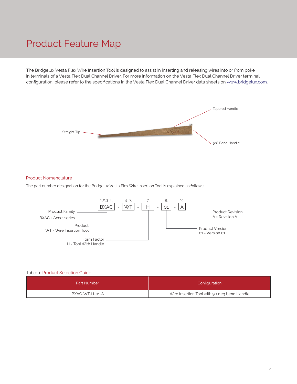### Product Feature Map

The Bridgelux Vesta Flex Wire Insertion Tool is designed to assist in inserting and releasing wires into or from poke in terminals of a Vesta Flex Dual Channel Driver. For more information on the Vesta Flex Dual Channel Driver terminal configuration, please refer to the specifications in the Vesta Flex Dual Channel Driver data sheets on www.bridgelux.com.



#### Product Nomenclature

The part number designation for the Bridgelux Vesta Flex Wire Insertion Tool is explained as follows:



#### Table 1: Product Selection Guide

| Part Number    | Configuration                               |
|----------------|---------------------------------------------|
| BXAC-WT-H-01-A | Wire Insertion Tool with 90 deg bend Handle |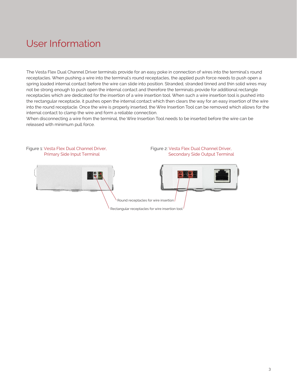## User Information

The Vesta Flex Dual Channel Driver terminals provide for an easy poke in connection of wires into the terminal's round receptacles. When pushing a wire into the terminal's round receptacles, the applied push force needs to push open a spring loaded internal contact before the wire can slide into position. Stranded, stranded tinned and thin solid wires may not be strong enough to push open the internal contact and therefore the terminals provide for additional rectangle receptacles which are dedicated for the insertion of a wire insertion tool. When such a wire insertion tool is pushed into the rectangular receptacle, it pushes open the internal contact which then clears the way for an easy insertion of the wire into the round receptacle. Once the wire is properly inserted, the Wire Insertion Tool can be removed which allows for the internal contact to clamp the wire and form a reliable connection.

When disconnecting a wire from the terminal, the Wire Insertion Tool needs to be inserted before the wire can be released with minimum pull force.

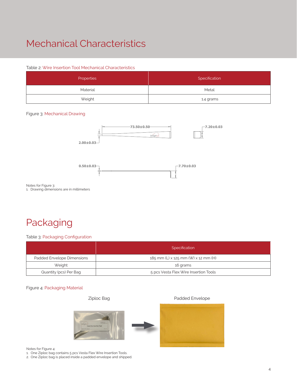## Mechanical Characteristics

### Table 2: Wire Insertion Tool Mechanical Characteristics

| Properties | Specification |
|------------|---------------|
| Material   | Metal         |
| Weight     | 1.4 grams     |

#### Figure 3: Mechanical Drawing



Notes for Figure 3:

1. Drawing dimensions are in millimeters

# Packaging

Table 3: Packaging Configuration

|                            | Specification                         |
|----------------------------|---------------------------------------|
| Padded Envelope Dimensions | 185 mm (L) x 125 mm (W) x 12 mm (H)   |
| Weight                     | 16 grams                              |
| Quantity (pcs) Per Bag     | 5 pcs Vesta Flex Wire Insertion Tools |

#### Figure 4: Packaging Material

Ziploc Bag **Padded Envelope** 



Notes for Figure 4:

- 1. One Ziploc bag contains 5 pcs Vesta Flex Wire Insertion Tools.
- 2. One Ziploc bag is placed inside a padded envelope and shipped.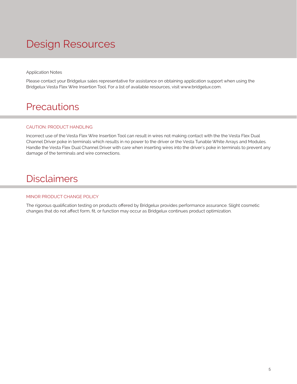# Design Resources

Application Notes

Please contact your Bridgelux sales representative for assistance on obtaining application support when using the Bridgelux Vesta Flex Wire Insertion Tool. For a list of available resources, visit www.bridgelux.com.

### **Precautions**

### CAUTION: PRODUCT HANDLING

Incorrect use of the Vesta Flex Wire Insertion Tool can result in wires not making contact with the the Vesta Flex Dual Channel Driver poke in terminals which results in no power to the driver or the Vesta Tunable White Arrays and Modules. Handle the Vesta Flex Dual Channel Driver with care when inserting wires into the driver's poke in terminals to prevent any damage of the terminals and wire connections.

### **Disclaimers**

#### MINOR PRODUCT CHANGE POLICY

The rigorous qualification testing on products offered by Bridgelux provides performance assurance. Slight cosmetic changes that do not affect form, fit, or function may occur as Bridgelux continues product optimization.